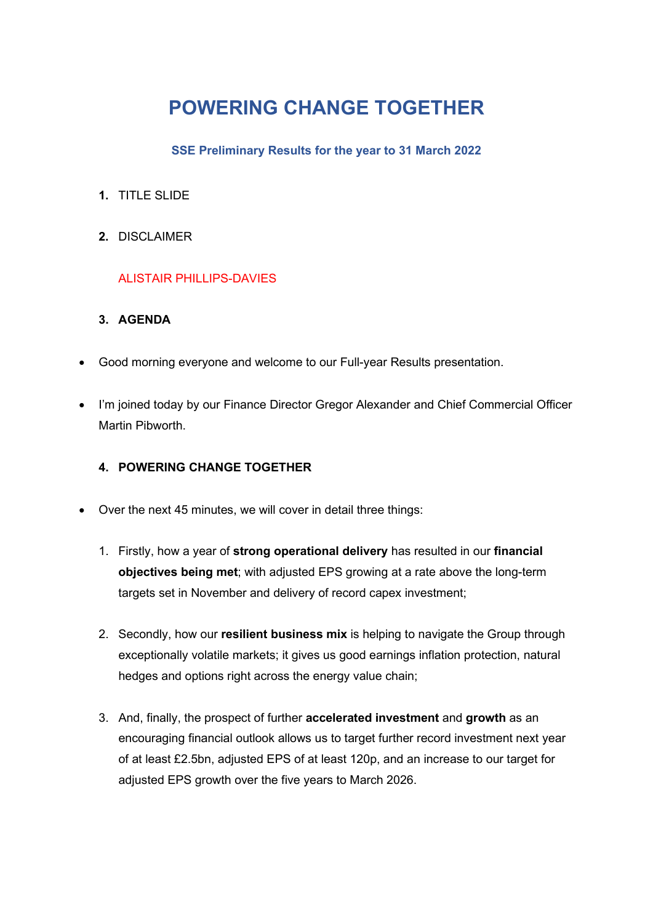# **POWERING CHANGE TOGETHER**

#### **SSE Preliminary Results for the year to 31 March 2022**

- **1.** TITLE SLIDE
- **2.** DISCLAIMER

## ALISTAIR PHILLIPS-DAVIES

## **3. AGENDA**

- Good morning everyone and welcome to our Full-year Results presentation.
- I'm joined today by our Finance Director Gregor Alexander and Chief Commercial Officer Martin Pibworth.

## **4. POWERING CHANGE TOGETHER**

- Over the next 45 minutes, we will cover in detail three things:
	- 1. Firstly, how a year of **strong operational delivery** has resulted in our **financial objectives being met**; with adjusted EPS growing at a rate above the long-term targets set in November and delivery of record capex investment;
	- 2. Secondly, how our **resilient business mix** is helping to navigate the Group through exceptionally volatile markets; it gives us good earnings inflation protection, natural hedges and options right across the energy value chain;
	- 3. And, finally, the prospect of further **accelerated investment** and **growth** as an encouraging financial outlook allows us to target further record investment next year of at least £2.5bn, adjusted EPS of at least 120p, and an increase to our target for adjusted EPS growth over the five years to March 2026.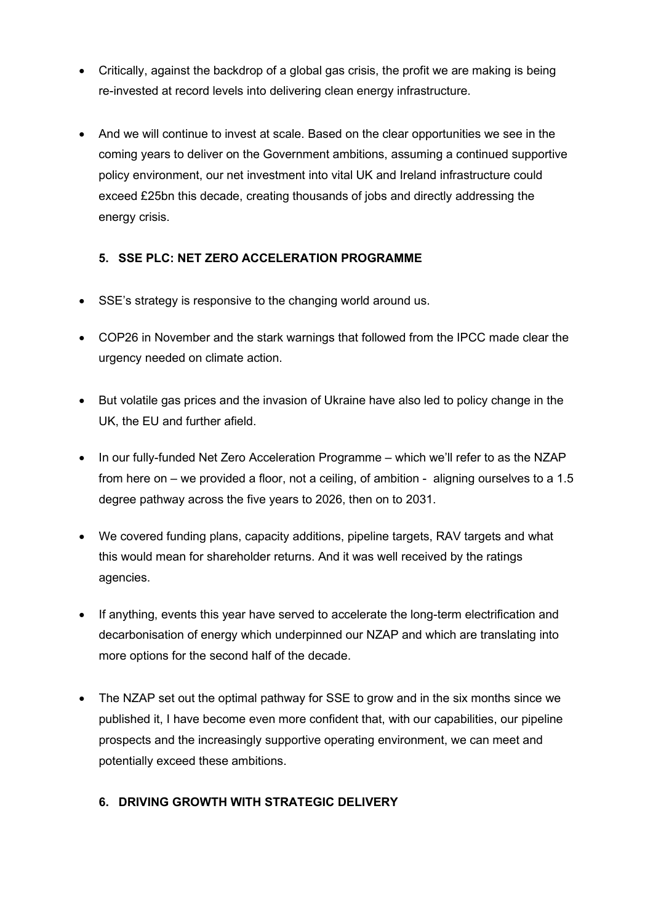- Critically, against the backdrop of a global gas crisis, the profit we are making is being re-invested at record levels into delivering clean energy infrastructure.
- And we will continue to invest at scale. Based on the clear opportunities we see in the coming years to deliver on the Government ambitions, assuming a continued supportive policy environment, our net investment into vital UK and Ireland infrastructure could exceed £25bn this decade, creating thousands of jobs and directly addressing the energy crisis.

## **5. SSE PLC: NET ZERO ACCELERATION PROGRAMME**

- SSE's strategy is responsive to the changing world around us.
- COP26 in November and the stark warnings that followed from the IPCC made clear the urgency needed on climate action.
- But volatile gas prices and the invasion of Ukraine have also led to policy change in the UK, the EU and further afield.
- In our fully-funded Net Zero Acceleration Programme which we'll refer to as the NZAP from here on – we provided a floor, not a ceiling, of ambition - aligning ourselves to a 1.5 degree pathway across the five years to 2026, then on to 2031.
- We covered funding plans, capacity additions, pipeline targets, RAV targets and what this would mean for shareholder returns. And it was well received by the ratings agencies.
- If anything, events this year have served to accelerate the long-term electrification and decarbonisation of energy which underpinned our NZAP and which are translating into more options for the second half of the decade.
- The NZAP set out the optimal pathway for SSE to grow and in the six months since we published it, I have become even more confident that, with our capabilities, our pipeline prospects and the increasingly supportive operating environment, we can meet and potentially exceed these ambitions.

## **6. DRIVING GROWTH WITH STRATEGIC DELIVERY**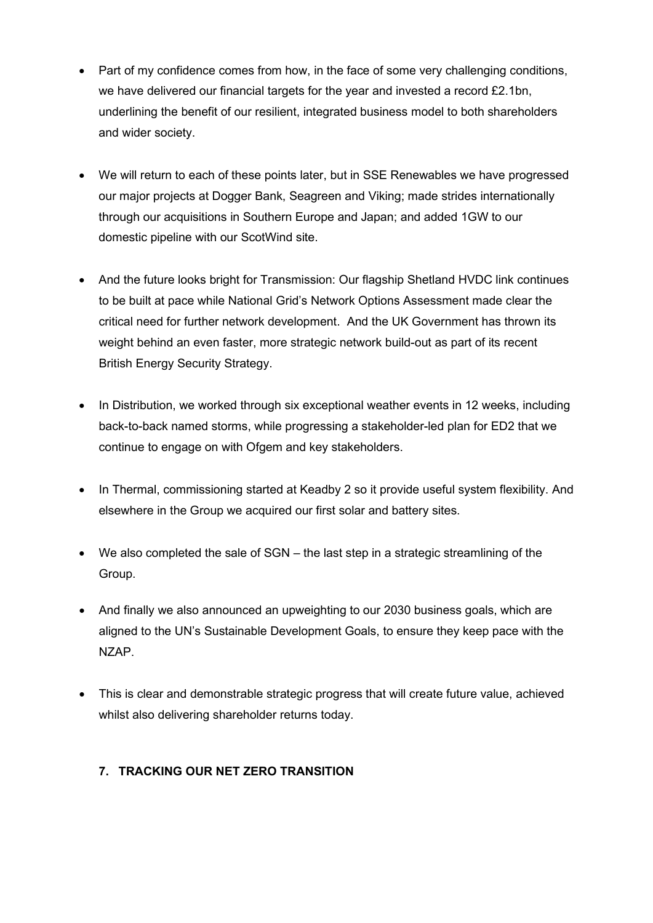- Part of my confidence comes from how, in the face of some very challenging conditions, we have delivered our financial targets for the year and invested a record £2.1bn, underlining the benefit of our resilient, integrated business model to both shareholders and wider society.
- We will return to each of these points later, but in SSE Renewables we have progressed our major projects at Dogger Bank, Seagreen and Viking; made strides internationally through our acquisitions in Southern Europe and Japan; and added 1GW to our domestic pipeline with our ScotWind site.
- And the future looks bright for Transmission: Our flagship Shetland HVDC link continues to be built at pace while National Grid's Network Options Assessment made clear the critical need for further network development. And the UK Government has thrown its weight behind an even faster, more strategic network build-out as part of its recent British Energy Security Strategy.
- In Distribution, we worked through six exceptional weather events in 12 weeks, including back-to-back named storms, while progressing a stakeholder-led plan for ED2 that we continue to engage on with Ofgem and key stakeholders.
- In Thermal, commissioning started at Keadby 2 so it provide useful system flexibility. And elsewhere in the Group we acquired our first solar and battery sites.
- We also completed the sale of SGN the last step in a strategic streamlining of the Group.
- And finally we also announced an upweighting to our 2030 business goals, which are aligned to the UN's Sustainable Development Goals, to ensure they keep pace with the NZAP.
- This is clear and demonstrable strategic progress that will create future value, achieved whilst also delivering shareholder returns today.

## **7. TRACKING OUR NET ZERO TRANSITION**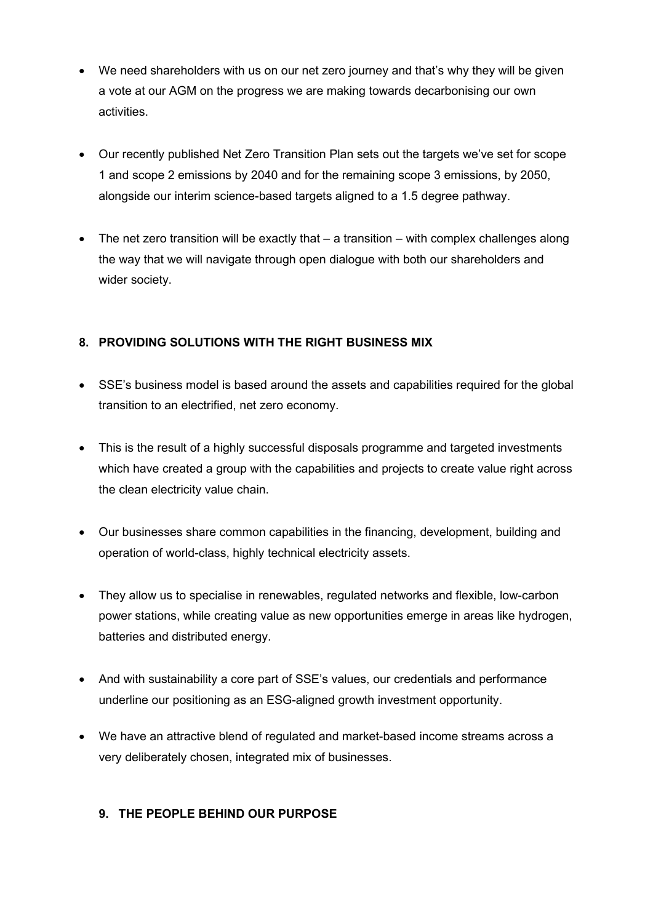- We need shareholders with us on our net zero journey and that's why they will be given a vote at our AGM on the progress we are making towards decarbonising our own activities.
- Our recently published Net Zero Transition Plan sets out the targets we've set for scope 1 and scope 2 emissions by 2040 and for the remaining scope 3 emissions, by 2050, alongside our interim science-based targets aligned to a 1.5 degree pathway.
- The net zero transition will be exactly that a transition with complex challenges along the way that we will navigate through open dialogue with both our shareholders and wider society.

## **8. PROVIDING SOLUTIONS WITH THE RIGHT BUSINESS MIX**

- SSE's business model is based around the assets and capabilities required for the global transition to an electrified, net zero economy.
- This is the result of a highly successful disposals programme and targeted investments which have created a group with the capabilities and projects to create value right across the clean electricity value chain.
- Our businesses share common capabilities in the financing, development, building and operation of world-class, highly technical electricity assets.
- They allow us to specialise in renewables, regulated networks and flexible, low-carbon power stations, while creating value as new opportunities emerge in areas like hydrogen, batteries and distributed energy.
- And with sustainability a core part of SSE's values, our credentials and performance underline our positioning as an ESG-aligned growth investment opportunity.
- We have an attractive blend of regulated and market-based income streams across a very deliberately chosen, integrated mix of businesses.

#### **9. THE PEOPLE BEHIND OUR PURPOSE**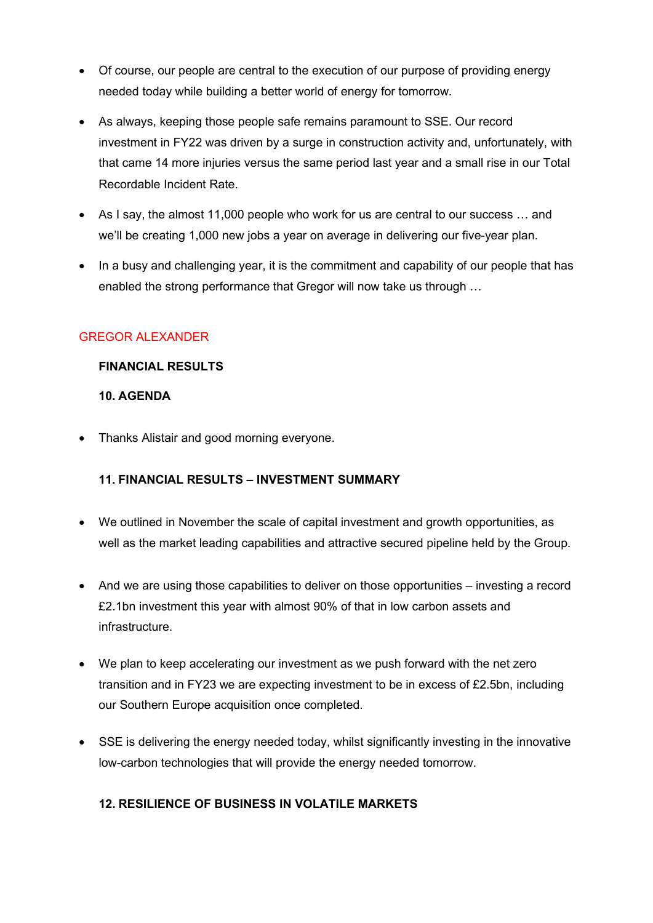- Of course, our people are central to the execution of our purpose of providing energy needed today while building a better world of energy for tomorrow.
- As always, keeping those people safe remains paramount to SSE. Our record investment in FY22 was driven by a surge in construction activity and, unfortunately, with that came 14 more injuries versus the same period last year and a small rise in our Total Recordable Incident Rate.
- As I say, the almost 11,000 people who work for us are central to our success … and we'll be creating 1,000 new jobs a year on average in delivering our five-year plan.
- In a busy and challenging year, it is the commitment and capability of our people that has enabled the strong performance that Gregor will now take us through …

#### GREGOR ALEXANDER

#### **FINANCIAL RESULTS**

#### **10. AGENDA**

• Thanks Alistair and good morning everyone.

## **11. FINANCIAL RESULTS – INVESTMENT SUMMARY**

- We outlined in November the scale of capital investment and growth opportunities, as well as the market leading capabilities and attractive secured pipeline held by the Group.
- And we are using those capabilities to deliver on those opportunities investing a record £2.1bn investment this year with almost 90% of that in low carbon assets and infrastructure.
- We plan to keep accelerating our investment as we push forward with the net zero transition and in FY23 we are expecting investment to be in excess of £2.5bn, including our Southern Europe acquisition once completed.
- SSE is delivering the energy needed today, whilst significantly investing in the innovative low-carbon technologies that will provide the energy needed tomorrow.

## **12. RESILIENCE OF BUSINESS IN VOLATILE MARKETS**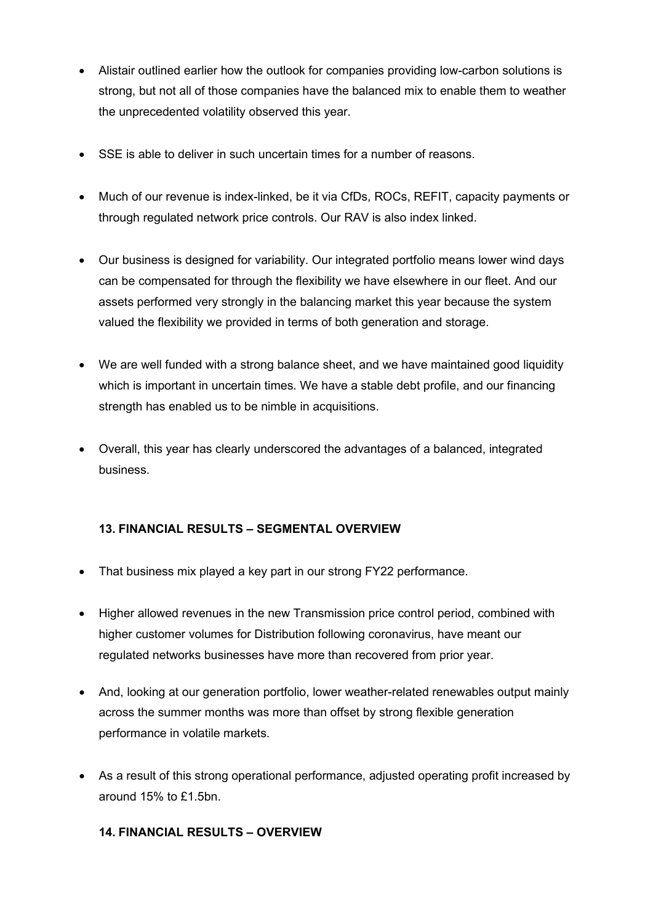- Alistair outlined earlier how the outlook for companies providing low-carbon solutions is strong, but not all of those companies have the balanced mix to enable them to weather the unprecedented volatility observed this year.
- SSE is able to deliver in such uncertain times for a number of reasons.
- Much of our revenue is index-linked, be it via CfDs, ROCs, REFIT, capacity payments or through regulated network price controls. Our RAV is also index linked.
- Our business is designed for variability. Our integrated portfolio means lower wind days can be compensated for through the flexibility we have elsewhere in our fleet. And our assets performed very strongly in the balancing market this year because the system valued the flexibility we provided in terms of both generation and storage.
- We are well funded with a strong balance sheet, and we have maintained good liquidity which is important in uncertain times. We have a stable debt profile, and our financing strength has enabled us to be nimble in acquisitions.
- Overall, this year has clearly underscored the advantages of a balanced, integrated business.

## **13. FINANCIAL RESULTS – SEGMENTAL OVERVIEW**

- That business mix played a key part in our strong FY22 performance.
- Higher allowed revenues in the new Transmission price control period, combined with higher customer volumes for Distribution following coronavirus, have meant our regulated networks businesses have more than recovered from prior year.
- And, looking at our generation portfolio, lower weather-related renewables output mainly across the summer months was more than offset by strong flexible generation performance in volatile markets.
- As a result of this strong operational performance, adjusted operating profit increased by around 15% to £1.5bn.

#### **14. FINANCIAL RESULTS – OVERVIEW**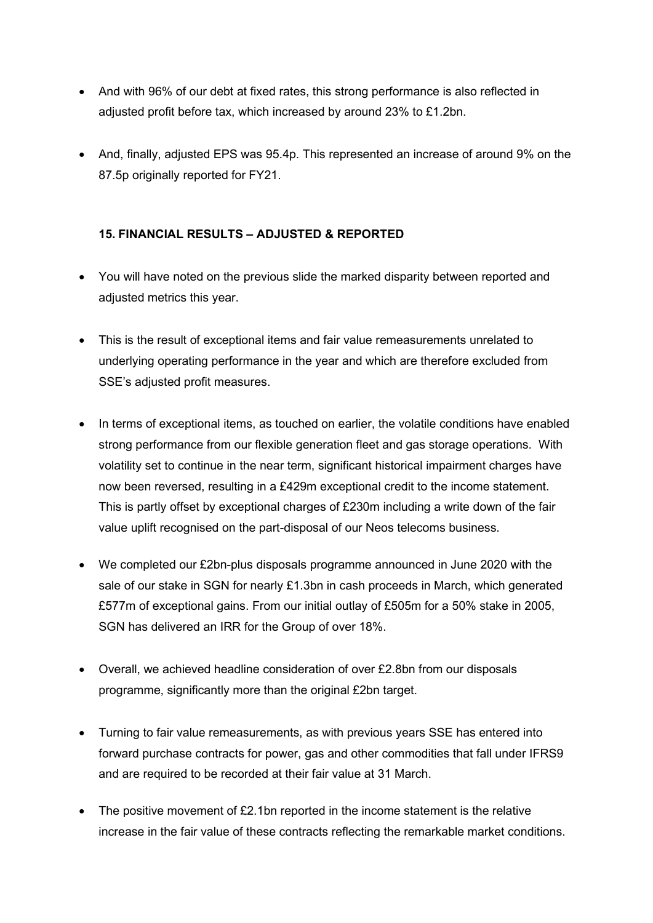- And with 96% of our debt at fixed rates, this strong performance is also reflected in adjusted profit before tax, which increased by around 23% to £1.2bn.
- And, finally, adjusted EPS was 95.4p. This represented an increase of around 9% on the 87.5p originally reported for FY21.

## **15. FINANCIAL RESULTS – ADJUSTED & REPORTED**

- You will have noted on the previous slide the marked disparity between reported and adjusted metrics this year.
- This is the result of exceptional items and fair value remeasurements unrelated to underlying operating performance in the year and which are therefore excluded from SSE's adjusted profit measures.
- In terms of exceptional items, as touched on earlier, the volatile conditions have enabled strong performance from our flexible generation fleet and gas storage operations. With volatility set to continue in the near term, significant historical impairment charges have now been reversed, resulting in a £429m exceptional credit to the income statement. This is partly offset by exceptional charges of £230m including a write down of the fair value uplift recognised on the part-disposal of our Neos telecoms business.
- We completed our £2bn-plus disposals programme announced in June 2020 with the sale of our stake in SGN for nearly £1.3bn in cash proceeds in March, which generated £577m of exceptional gains. From our initial outlay of £505m for a 50% stake in 2005, SGN has delivered an IRR for the Group of over 18%.
- Overall, we achieved headline consideration of over £2.8bn from our disposals programme, significantly more than the original £2bn target.
- Turning to fair value remeasurements, as with previous years SSE has entered into forward purchase contracts for power, gas and other commodities that fall under IFRS9 and are required to be recorded at their fair value at 31 March.
- The positive movement of  $E2.1$ bn reported in the income statement is the relative increase in the fair value of these contracts reflecting the remarkable market conditions.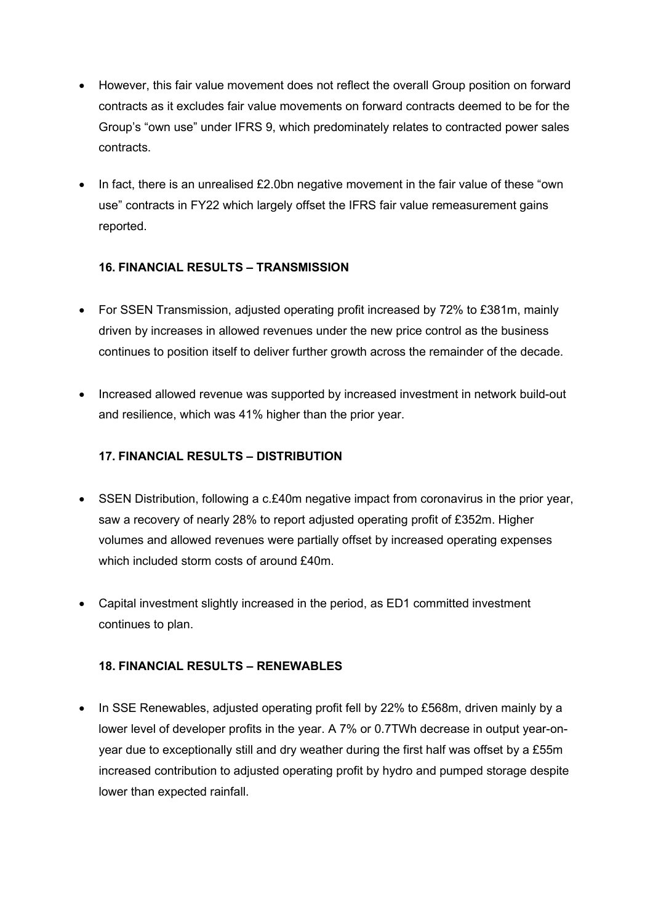- However, this fair value movement does not reflect the overall Group position on forward contracts as it excludes fair value movements on forward contracts deemed to be for the Group's "own use" under IFRS 9, which predominately relates to contracted power sales contracts.
- In fact, there is an unrealised £2.0bn negative movement in the fair value of these "own" use" contracts in FY22 which largely offset the IFRS fair value remeasurement gains reported.

## **16. FINANCIAL RESULTS – TRANSMISSION**

- For SSEN Transmission, adjusted operating profit increased by 72% to £381m, mainly driven by increases in allowed revenues under the new price control as the business continues to position itself to deliver further growth across the remainder of the decade.
- Increased allowed revenue was supported by increased investment in network build-out and resilience, which was 41% higher than the prior year.

## **17. FINANCIAL RESULTS – DISTRIBUTION**

- SSEN Distribution, following a c.£40m negative impact from coronavirus in the prior year, saw a recovery of nearly 28% to report adjusted operating profit of £352m. Higher volumes and allowed revenues were partially offset by increased operating expenses which included storm costs of around £40m.
- Capital investment slightly increased in the period, as ED1 committed investment continues to plan.

#### **18. FINANCIAL RESULTS – RENEWABLES**

• In SSE Renewables, adjusted operating profit fell by 22% to £568m, driven mainly by a lower level of developer profits in the year. A 7% or 0.7TWh decrease in output year-onyear due to exceptionally still and dry weather during the first half was offset by a £55m increased contribution to adjusted operating profit by hydro and pumped storage despite lower than expected rainfall.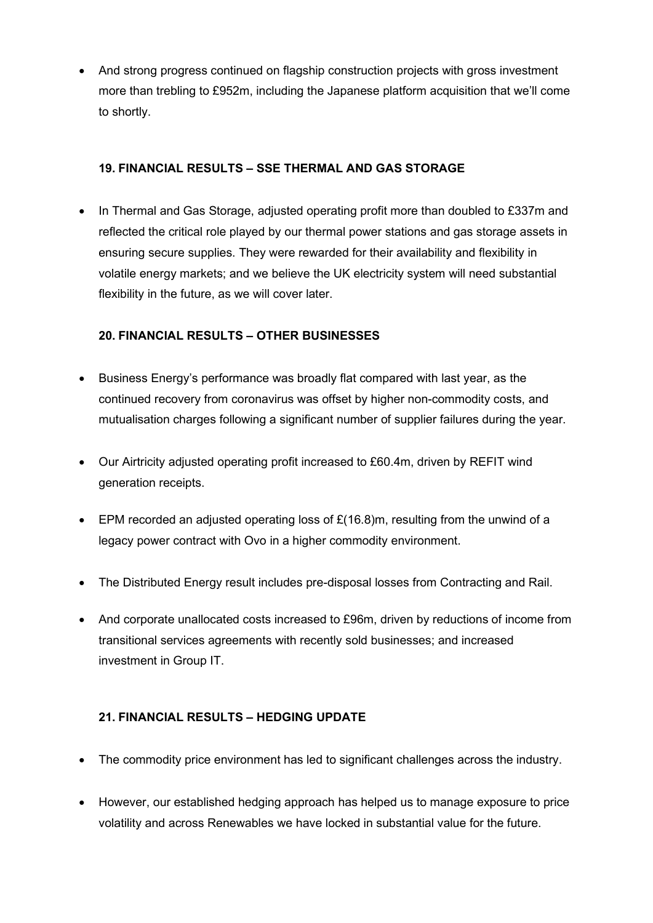• And strong progress continued on flagship construction projects with gross investment more than trebling to £952m, including the Japanese platform acquisition that we'll come to shortly.

#### **19. FINANCIAL RESULTS – SSE THERMAL AND GAS STORAGE**

• In Thermal and Gas Storage, adjusted operating profit more than doubled to £337m and reflected the critical role played by our thermal power stations and gas storage assets in ensuring secure supplies. They were rewarded for their availability and flexibility in volatile energy markets; and we believe the UK electricity system will need substantial flexibility in the future, as we will cover later.

#### **20. FINANCIAL RESULTS – OTHER BUSINESSES**

- Business Energy's performance was broadly flat compared with last year, as the continued recovery from coronavirus was offset by higher non-commodity costs, and mutualisation charges following a significant number of supplier failures during the year.
- Our Airtricity adjusted operating profit increased to £60.4m, driven by REFIT wind generation receipts.
- EPM recorded an adjusted operating loss of  $E(16.8)$ m, resulting from the unwind of a legacy power contract with Ovo in a higher commodity environment.
- The Distributed Energy result includes pre-disposal losses from Contracting and Rail.
- And corporate unallocated costs increased to £96m, driven by reductions of income from transitional services agreements with recently sold businesses; and increased investment in Group IT.

## **21. FINANCIAL RESULTS – HEDGING UPDATE**

- The commodity price environment has led to significant challenges across the industry.
- However, our established hedging approach has helped us to manage exposure to price volatility and across Renewables we have locked in substantial value for the future.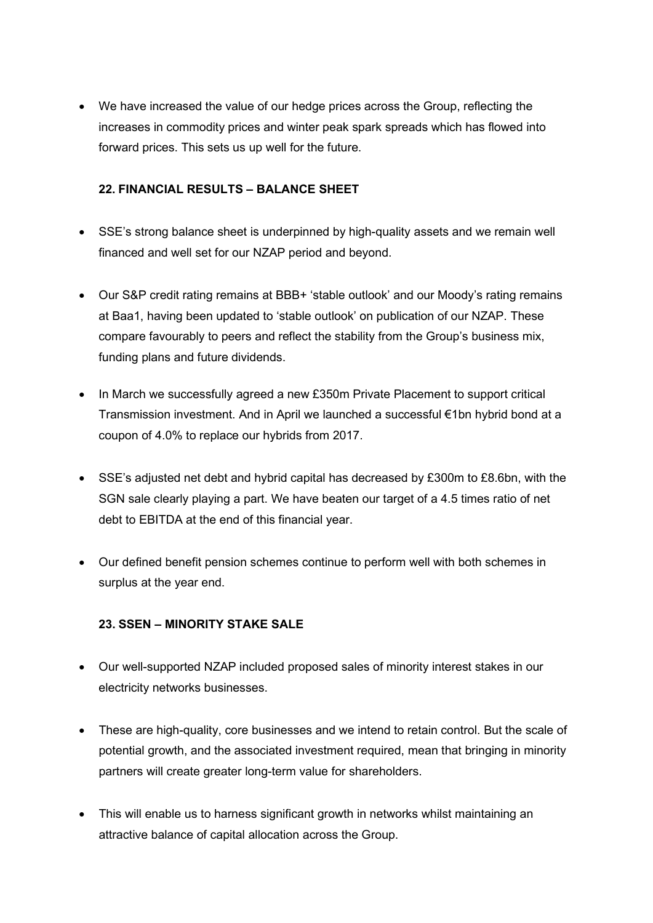• We have increased the value of our hedge prices across the Group, reflecting the increases in commodity prices and winter peak spark spreads which has flowed into forward prices. This sets us up well for the future.

#### **22. FINANCIAL RESULTS – BALANCE SHEET**

- SSE's strong balance sheet is underpinned by high-quality assets and we remain well financed and well set for our NZAP period and beyond.
- Our S&P credit rating remains at BBB+ 'stable outlook' and our Moody's rating remains at Baa1, having been updated to 'stable outlook' on publication of our NZAP. These compare favourably to peers and reflect the stability from the Group's business mix, funding plans and future dividends.
- In March we successfully agreed a new £350m Private Placement to support critical Transmission investment. And in April we launched a successful €1bn hybrid bond at a coupon of 4.0% to replace our hybrids from 2017.
- SSE's adjusted net debt and hybrid capital has decreased by £300m to £8.6bn, with the SGN sale clearly playing a part. We have beaten our target of a 4.5 times ratio of net debt to EBITDA at the end of this financial year.
- Our defined benefit pension schemes continue to perform well with both schemes in surplus at the year end.

#### **23. SSEN – MINORITY STAKE SALE**

- Our well-supported NZAP included proposed sales of minority interest stakes in our electricity networks businesses.
- These are high-quality, core businesses and we intend to retain control. But the scale of potential growth, and the associated investment required, mean that bringing in minority partners will create greater long-term value for shareholders.
- This will enable us to harness significant growth in networks whilst maintaining an attractive balance of capital allocation across the Group.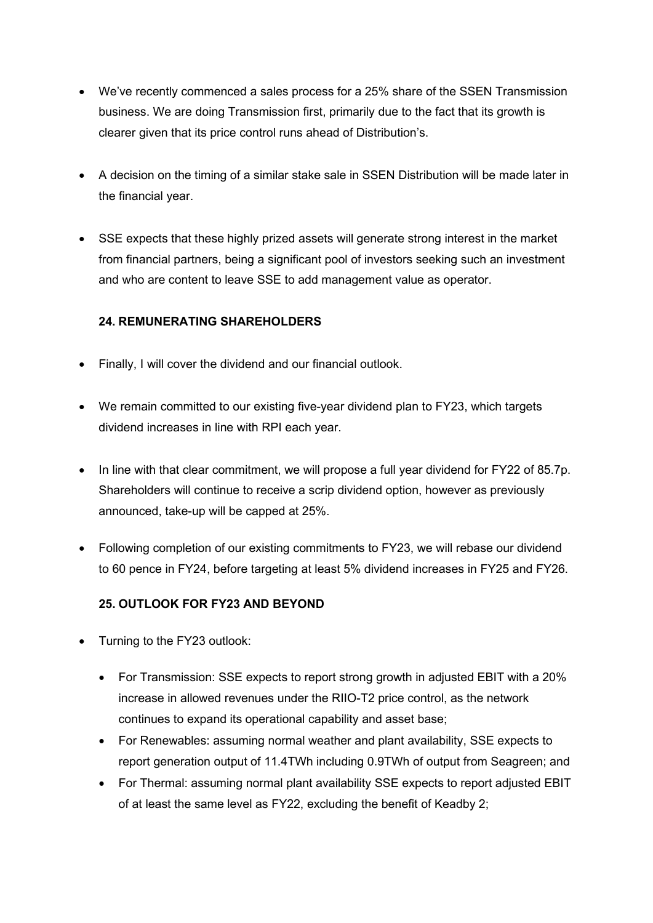- We've recently commenced a sales process for a 25% share of the SSEN Transmission business. We are doing Transmission first, primarily due to the fact that its growth is clearer given that its price control runs ahead of Distribution's.
- A decision on the timing of a similar stake sale in SSEN Distribution will be made later in the financial year.
- SSE expects that these highly prized assets will generate strong interest in the market from financial partners, being a significant pool of investors seeking such an investment and who are content to leave SSE to add management value as operator.

## **24. REMUNERATING SHAREHOLDERS**

- Finally, I will cover the dividend and our financial outlook.
- We remain committed to our existing five-year dividend plan to FY23, which targets dividend increases in line with RPI each year.
- In line with that clear commitment, we will propose a full year dividend for FY22 of 85.7p. Shareholders will continue to receive a scrip dividend option, however as previously announced, take-up will be capped at 25%.
- Following completion of our existing commitments to FY23, we will rebase our dividend to 60 pence in FY24, before targeting at least 5% dividend increases in FY25 and FY26.

## **25. OUTLOOK FOR FY23 AND BEYOND**

- Turning to the FY23 outlook:
	- For Transmission: SSE expects to report strong growth in adjusted EBIT with a 20% increase in allowed revenues under the RIIO-T2 price control, as the network continues to expand its operational capability and asset base;
	- For Renewables: assuming normal weather and plant availability, SSE expects to report generation output of 11.4TWh including 0.9TWh of output from Seagreen; and
	- For Thermal: assuming normal plant availability SSE expects to report adjusted EBIT of at least the same level as FY22, excluding the benefit of Keadby 2;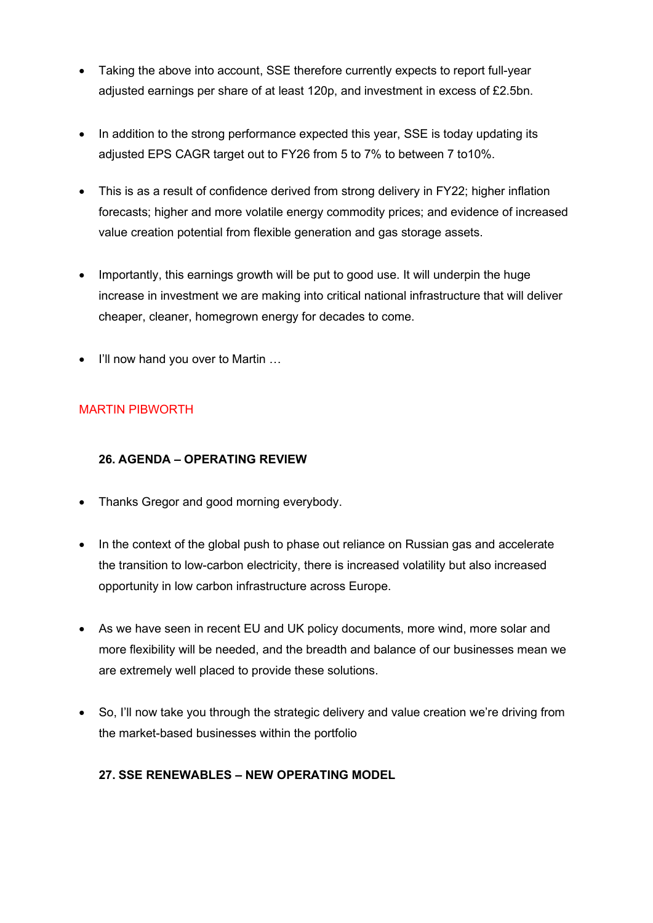- Taking the above into account, SSE therefore currently expects to report full-year adjusted earnings per share of at least 120p, and investment in excess of £2.5bn.
- In addition to the strong performance expected this year, SSE is today updating its adjusted EPS CAGR target out to FY26 from 5 to 7% to between 7 to10%.
- This is as a result of confidence derived from strong delivery in FY22; higher inflation forecasts; higher and more volatile energy commodity prices; and evidence of increased value creation potential from flexible generation and gas storage assets.
- Importantly, this earnings growth will be put to good use. It will underpin the huge increase in investment we are making into critical national infrastructure that will deliver cheaper, cleaner, homegrown energy for decades to come.
- I'll now hand you over to Martin ...

## MARTIN PIBWORTH

## **26. AGENDA – OPERATING REVIEW**

- Thanks Gregor and good morning everybody.
- In the context of the global push to phase out reliance on Russian gas and accelerate the transition to low-carbon electricity, there is increased volatility but also increased opportunity in low carbon infrastructure across Europe.
- As we have seen in recent EU and UK policy documents, more wind, more solar and more flexibility will be needed, and the breadth and balance of our businesses mean we are extremely well placed to provide these solutions.
- So, I'll now take you through the strategic delivery and value creation we're driving from the market-based businesses within the portfolio

#### **27. SSE RENEWABLES – NEW OPERATING MODEL**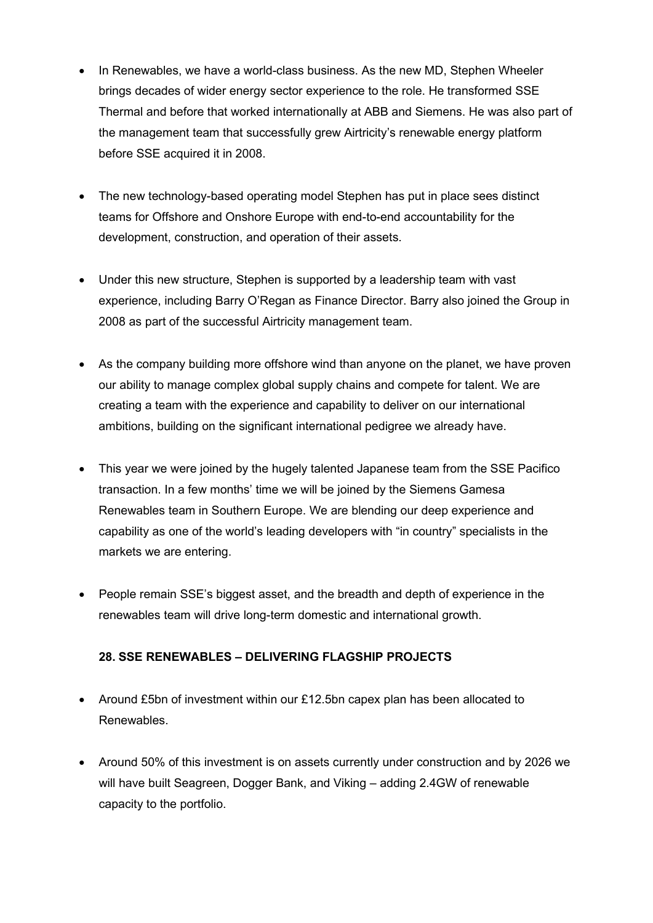- In Renewables, we have a world-class business. As the new MD, Stephen Wheeler brings decades of wider energy sector experience to the role. He transformed SSE Thermal and before that worked internationally at ABB and Siemens. He was also part of the management team that successfully grew Airtricity's renewable energy platform before SSE acquired it in 2008.
- The new technology-based operating model Stephen has put in place sees distinct teams for Offshore and Onshore Europe with end-to-end accountability for the development, construction, and operation of their assets.
- Under this new structure, Stephen is supported by a leadership team with vast experience, including Barry O'Regan as Finance Director. Barry also joined the Group in 2008 as part of the successful Airtricity management team.
- As the company building more offshore wind than anyone on the planet, we have proven our ability to manage complex global supply chains and compete for talent. We are creating a team with the experience and capability to deliver on our international ambitions, building on the significant international pedigree we already have.
- This year we were joined by the hugely talented Japanese team from the SSE Pacifico transaction. In a few months' time we will be joined by the Siemens Gamesa Renewables team in Southern Europe. We are blending our deep experience and capability as one of the world's leading developers with "in country" specialists in the markets we are entering.
- People remain SSE's biggest asset, and the breadth and depth of experience in the renewables team will drive long-term domestic and international growth.

## **28. SSE RENEWABLES – DELIVERING FLAGSHIP PROJECTS**

- Around £5bn of investment within our £12.5bn capex plan has been allocated to Renewables.
- Around 50% of this investment is on assets currently under construction and by 2026 we will have built Seagreen, Dogger Bank, and Viking – adding 2.4GW of renewable capacity to the portfolio.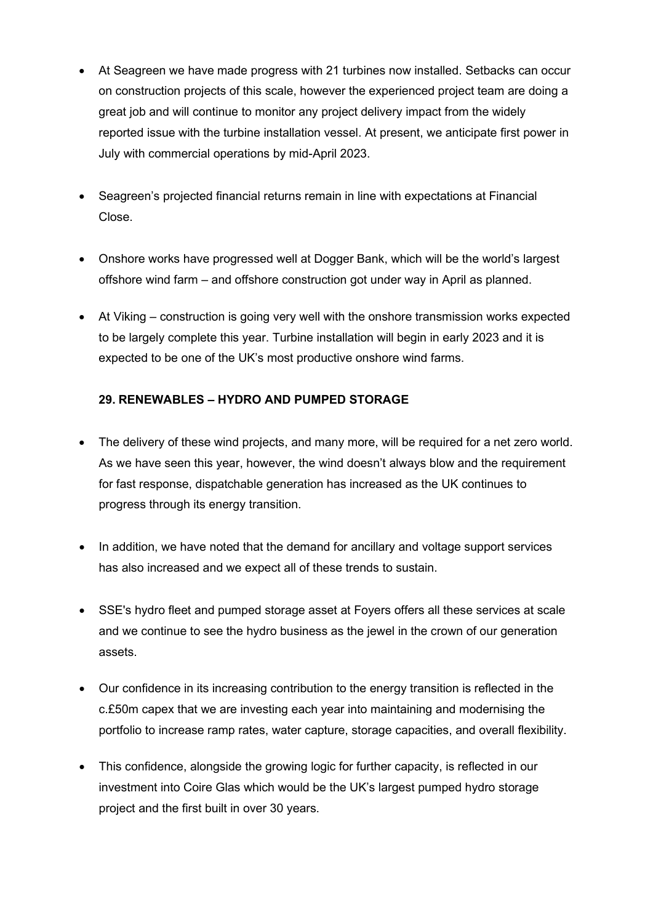- At Seagreen we have made progress with 21 turbines now installed. Setbacks can occur on construction projects of this scale, however the experienced project team are doing a great job and will continue to monitor any project delivery impact from the widely reported issue with the turbine installation vessel. At present, we anticipate first power in July with commercial operations by mid-April 2023.
- Seagreen's projected financial returns remain in line with expectations at Financial Close.
- Onshore works have progressed well at Dogger Bank, which will be the world's largest offshore wind farm – and offshore construction got under way in April as planned.
- At Viking construction is going very well with the onshore transmission works expected to be largely complete this year. Turbine installation will begin in early 2023 and it is expected to be one of the UK's most productive onshore wind farms.

## **29. RENEWABLES – HYDRO AND PUMPED STORAGE**

- The delivery of these wind projects, and many more, will be required for a net zero world. As we have seen this year, however, the wind doesn't always blow and the requirement for fast response, dispatchable generation has increased as the UK continues to progress through its energy transition.
- In addition, we have noted that the demand for ancillary and voltage support services has also increased and we expect all of these trends to sustain.
- SSE's hydro fleet and pumped storage asset at Foyers offers all these services at scale and we continue to see the hydro business as the jewel in the crown of our generation assets.
- Our confidence in its increasing contribution to the energy transition is reflected in the c.£50m capex that we are investing each year into maintaining and modernising the portfolio to increase ramp rates, water capture, storage capacities, and overall flexibility.
- This confidence, alongside the growing logic for further capacity, is reflected in our investment into Coire Glas which would be the UK's largest pumped hydro storage project and the first built in over 30 years.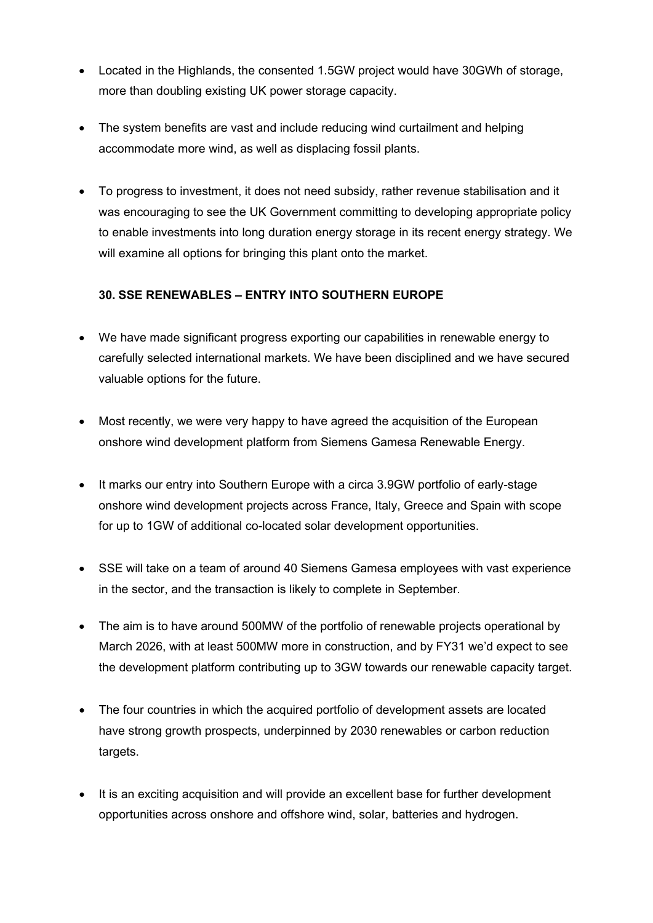- Located in the Highlands, the consented 1.5GW project would have 30GWh of storage, more than doubling existing UK power storage capacity.
- The system benefits are vast and include reducing wind curtailment and helping accommodate more wind, as well as displacing fossil plants.
- To progress to investment, it does not need subsidy, rather revenue stabilisation and it was encouraging to see the UK Government committing to developing appropriate policy to enable investments into long duration energy storage in its recent energy strategy. We will examine all options for bringing this plant onto the market.

## **30. SSE RENEWABLES – ENTRY INTO SOUTHERN EUROPE**

- We have made significant progress exporting our capabilities in renewable energy to carefully selected international markets. We have been disciplined and we have secured valuable options for the future.
- Most recently, we were very happy to have agreed the acquisition of the European onshore wind development platform from Siemens Gamesa Renewable Energy.
- It marks our entry into Southern Europe with a circa 3.9GW portfolio of early-stage onshore wind development projects across France, Italy, Greece and Spain with scope for up to 1GW of additional co-located solar development opportunities.
- SSE will take on a team of around 40 Siemens Gamesa employees with vast experience in the sector, and the transaction is likely to complete in September.
- The aim is to have around 500MW of the portfolio of renewable projects operational by March 2026, with at least 500MW more in construction, and by FY31 we'd expect to see the development platform contributing up to 3GW towards our renewable capacity target.
- The four countries in which the acquired portfolio of development assets are located have strong growth prospects, underpinned by 2030 renewables or carbon reduction targets.
- It is an exciting acquisition and will provide an excellent base for further development opportunities across onshore and offshore wind, solar, batteries and hydrogen.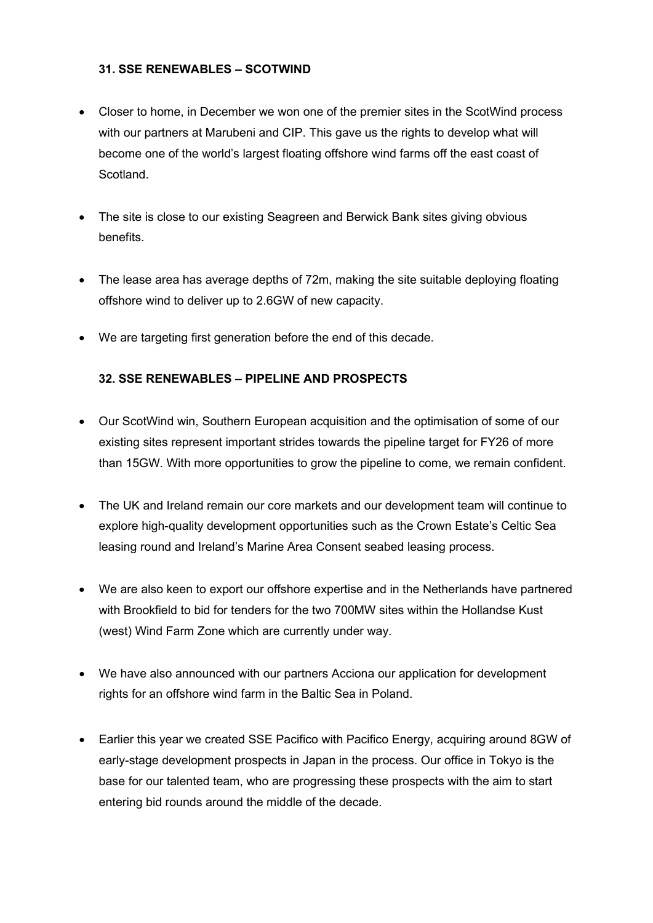#### **31. SSE RENEWABLES – SCOTWIND**

- Closer to home, in December we won one of the premier sites in the ScotWind process with our partners at Marubeni and CIP. This gave us the rights to develop what will become one of the world's largest floating offshore wind farms off the east coast of Scotland.
- The site is close to our existing Seagreen and Berwick Bank sites giving obvious benefits.
- The lease area has average depths of 72m, making the site suitable deploying floating offshore wind to deliver up to 2.6GW of new capacity.
- We are targeting first generation before the end of this decade.

#### **32. SSE RENEWABLES – PIPELINE AND PROSPECTS**

- Our ScotWind win, Southern European acquisition and the optimisation of some of our existing sites represent important strides towards the pipeline target for FY26 of more than 15GW. With more opportunities to grow the pipeline to come, we remain confident.
- The UK and Ireland remain our core markets and our development team will continue to explore high-quality development opportunities such as the Crown Estate's Celtic Sea leasing round and Ireland's Marine Area Consent seabed leasing process.
- We are also keen to export our offshore expertise and in the Netherlands have partnered with Brookfield to bid for tenders for the two 700MW sites within the Hollandse Kust (west) Wind Farm Zone which are currently under way.
- We have also announced with our partners Acciona our application for development rights for an offshore wind farm in the Baltic Sea in Poland.
- Earlier this year we created SSE Pacifico with Pacifico Energy, acquiring around 8GW of early-stage development prospects in Japan in the process. Our office in Tokyo is the base for our talented team, who are progressing these prospects with the aim to start entering bid rounds around the middle of the decade.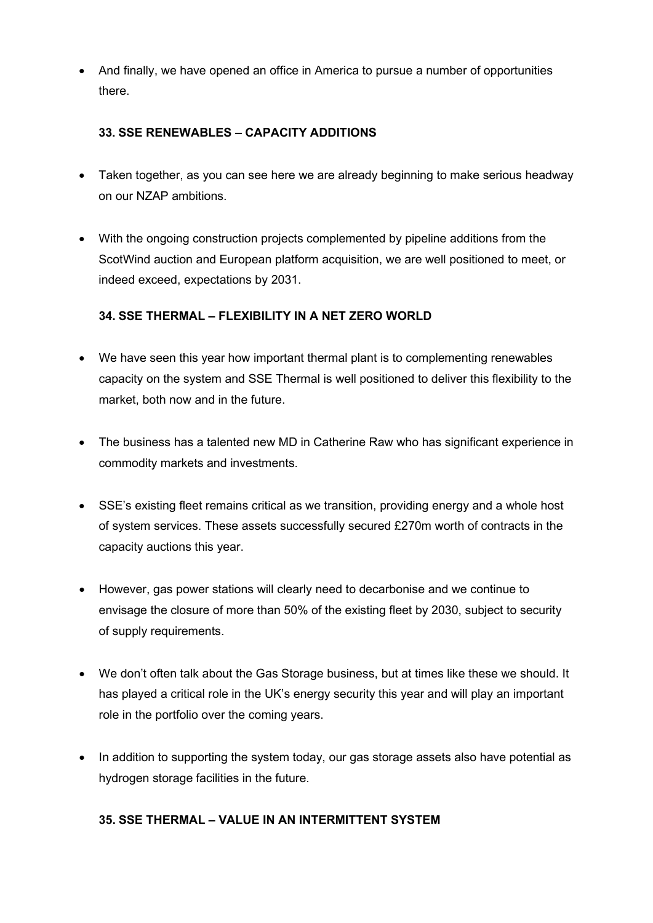• And finally, we have opened an office in America to pursue a number of opportunities there.

#### **33. SSE RENEWABLES – CAPACITY ADDITIONS**

- Taken together, as you can see here we are already beginning to make serious headway on our NZAP ambitions.
- With the ongoing construction projects complemented by pipeline additions from the ScotWind auction and European platform acquisition, we are well positioned to meet, or indeed exceed, expectations by 2031.

## **34. SSE THERMAL – FLEXIBILITY IN A NET ZERO WORLD**

- We have seen this year how important thermal plant is to complementing renewables capacity on the system and SSE Thermal is well positioned to deliver this flexibility to the market, both now and in the future.
- The business has a talented new MD in Catherine Raw who has significant experience in commodity markets and investments.
- SSE's existing fleet remains critical as we transition, providing energy and a whole host of system services. These assets successfully secured £270m worth of contracts in the capacity auctions this year.
- However, gas power stations will clearly need to decarbonise and we continue to envisage the closure of more than 50% of the existing fleet by 2030, subject to security of supply requirements.
- We don't often talk about the Gas Storage business, but at times like these we should. It has played a critical role in the UK's energy security this year and will play an important role in the portfolio over the coming years.
- In addition to supporting the system today, our gas storage assets also have potential as hydrogen storage facilities in the future.

#### **35. SSE THERMAL – VALUE IN AN INTERMITTENT SYSTEM**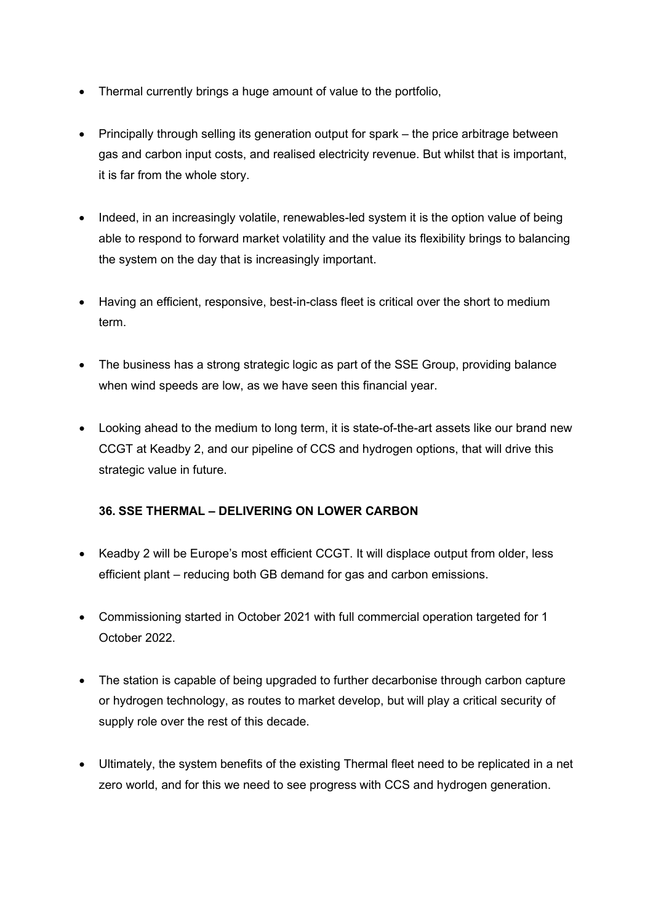- Thermal currently brings a huge amount of value to the portfolio,
- Principally through selling its generation output for spark the price arbitrage between gas and carbon input costs, and realised electricity revenue. But whilst that is important, it is far from the whole story.
- Indeed, in an increasingly volatile, renewables-led system it is the option value of being able to respond to forward market volatility and the value its flexibility brings to balancing the system on the day that is increasingly important.
- Having an efficient, responsive, best-in-class fleet is critical over the short to medium term.
- The business has a strong strategic logic as part of the SSE Group, providing balance when wind speeds are low, as we have seen this financial year.
- Looking ahead to the medium to long term, it is state-of-the-art assets like our brand new CCGT at Keadby 2, and our pipeline of CCS and hydrogen options, that will drive this strategic value in future.

## **36. SSE THERMAL – DELIVERING ON LOWER CARBON**

- Keadby 2 will be Europe's most efficient CCGT. It will displace output from older, less efficient plant – reducing both GB demand for gas and carbon emissions.
- Commissioning started in October 2021 with full commercial operation targeted for 1 October 2022.
- The station is capable of being upgraded to further decarbonise through carbon capture or hydrogen technology, as routes to market develop, but will play a critical security of supply role over the rest of this decade.
- Ultimately, the system benefits of the existing Thermal fleet need to be replicated in a net zero world, and for this we need to see progress with CCS and hydrogen generation.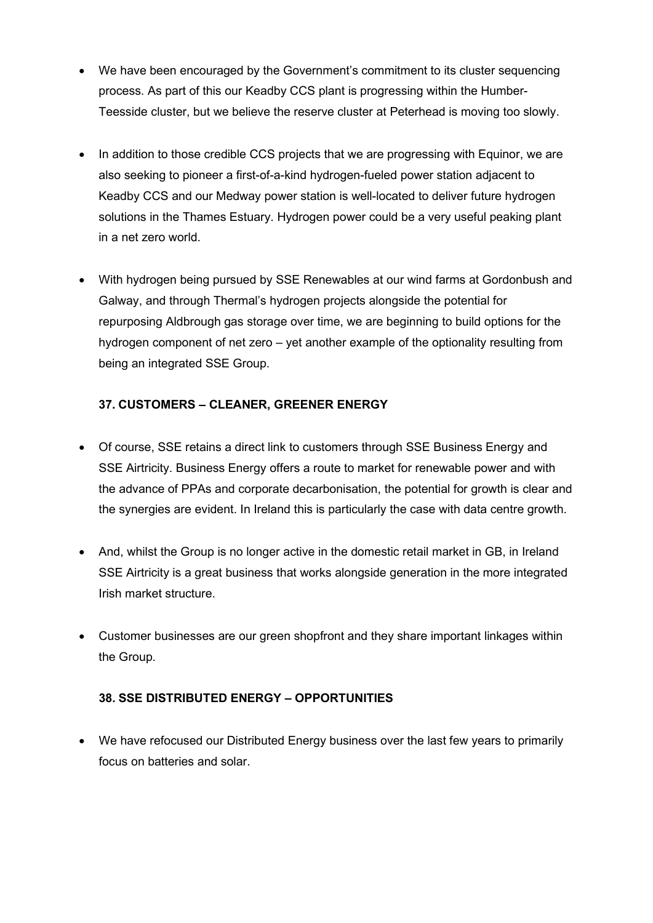- We have been encouraged by the Government's commitment to its cluster sequencing process. As part of this our Keadby CCS plant is progressing within the Humber-Teesside cluster, but we believe the reserve cluster at Peterhead is moving too slowly.
- In addition to those credible CCS projects that we are progressing with Equinor, we are also seeking to pioneer a first-of-a-kind hydrogen-fueled power station adjacent to Keadby CCS and our Medway power station is well-located to deliver future hydrogen solutions in the Thames Estuary. Hydrogen power could be a very useful peaking plant in a net zero world.
- With hydrogen being pursued by SSE Renewables at our wind farms at Gordonbush and Galway, and through Thermal's hydrogen projects alongside the potential for repurposing Aldbrough gas storage over time, we are beginning to build options for the hydrogen component of net zero – yet another example of the optionality resulting from being an integrated SSE Group.

## **37. CUSTOMERS – CLEANER, GREENER ENERGY**

- Of course, SSE retains a direct link to customers through SSE Business Energy and SSE Airtricity. Business Energy offers a route to market for renewable power and with the advance of PPAs and corporate decarbonisation, the potential for growth is clear and the synergies are evident. In Ireland this is particularly the case with data centre growth.
- And, whilst the Group is no longer active in the domestic retail market in GB, in Ireland SSE Airtricity is a great business that works alongside generation in the more integrated Irish market structure.
- Customer businesses are our green shopfront and they share important linkages within the Group.

#### **38. SSE DISTRIBUTED ENERGY – OPPORTUNITIES**

• We have refocused our Distributed Energy business over the last few years to primarily focus on batteries and solar.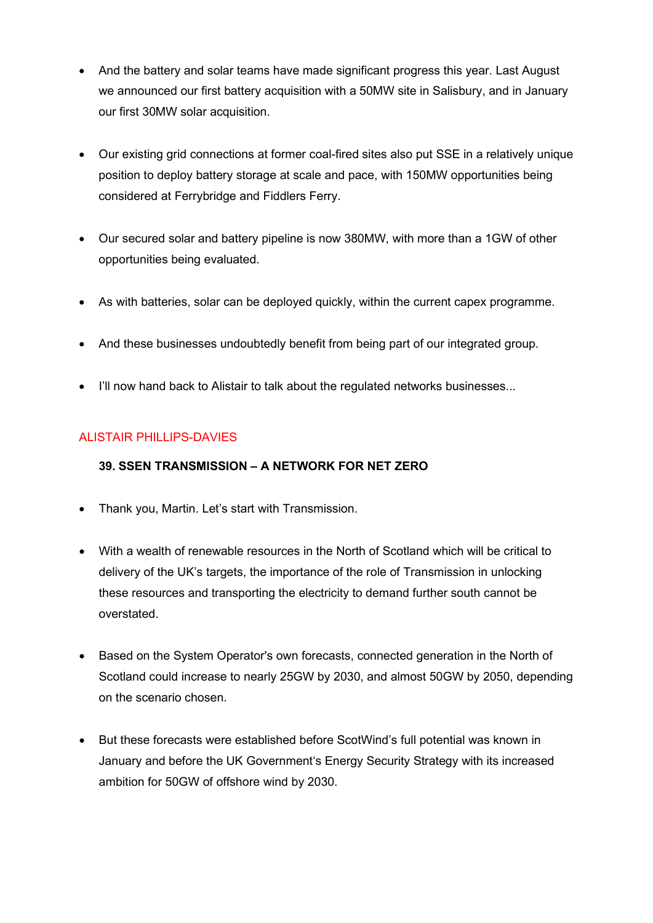- And the battery and solar teams have made significant progress this year. Last August we announced our first battery acquisition with a 50MW site in Salisbury, and in January our first 30MW solar acquisition.
- Our existing grid connections at former coal-fired sites also put SSE in a relatively unique position to deploy battery storage at scale and pace, with 150MW opportunities being considered at Ferrybridge and Fiddlers Ferry.
- Our secured solar and battery pipeline is now 380MW, with more than a 1GW of other opportunities being evaluated.
- As with batteries, solar can be deployed quickly, within the current capex programme.
- And these businesses undoubtedly benefit from being part of our integrated group.
- I'll now hand back to Alistair to talk about the regulated networks businesses...

#### ALISTAIR PHILLIPS-DAVIES

#### **39. SSEN TRANSMISSION – A NETWORK FOR NET ZERO**

- Thank you, Martin. Let's start with Transmission.
- With a wealth of renewable resources in the North of Scotland which will be critical to delivery of the UK's targets, the importance of the role of Transmission in unlocking these resources and transporting the electricity to demand further south cannot be overstated.
- Based on the System Operator's own forecasts, connected generation in the North of Scotland could increase to nearly 25GW by 2030, and almost 50GW by 2050, depending on the scenario chosen.
- But these forecasts were established before ScotWind's full potential was known in January and before the UK Government's Energy Security Strategy with its increased ambition for 50GW of offshore wind by 2030.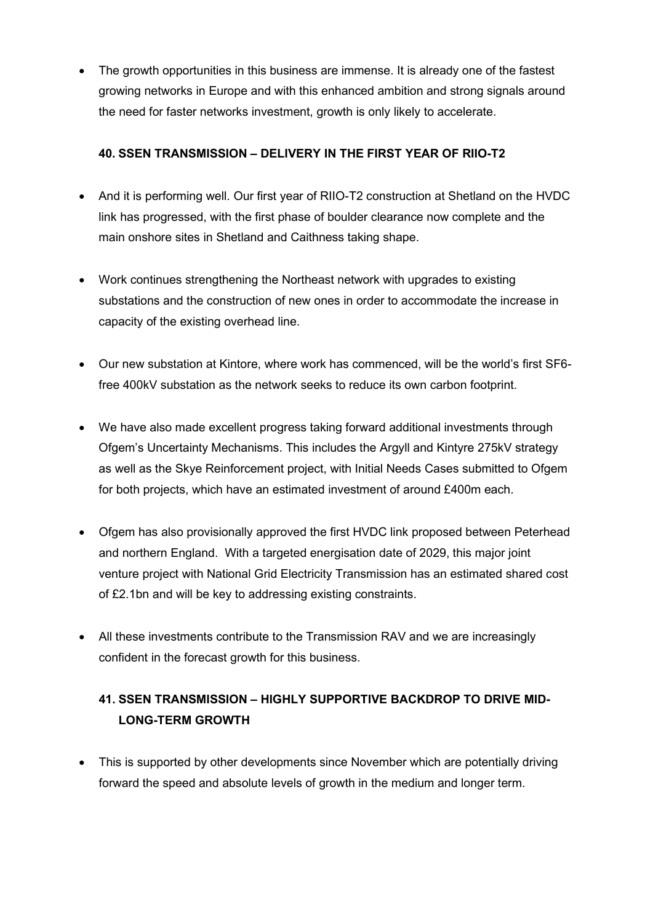• The growth opportunities in this business are immense. It is already one of the fastest growing networks in Europe and with this enhanced ambition and strong signals around the need for faster networks investment, growth is only likely to accelerate.

## **40. SSEN TRANSMISSION – DELIVERY IN THE FIRST YEAR OF RIIO-T2**

- And it is performing well. Our first year of RIIO-T2 construction at Shetland on the HVDC link has progressed, with the first phase of boulder clearance now complete and the main onshore sites in Shetland and Caithness taking shape.
- Work continues strengthening the Northeast network with upgrades to existing substations and the construction of new ones in order to accommodate the increase in capacity of the existing overhead line.
- Our new substation at Kintore, where work has commenced, will be the world's first SF6 free 400kV substation as the network seeks to reduce its own carbon footprint.
- We have also made excellent progress taking forward additional investments through Ofgem's Uncertainty Mechanisms. This includes the Argyll and Kintyre 275kV strategy as well as the Skye Reinforcement project, with Initial Needs Cases submitted to Ofgem for both projects, which have an estimated investment of around £400m each.
- Ofgem has also provisionally approved the first HVDC link proposed between Peterhead and northern England. With a targeted energisation date of 2029, this major joint venture project with National Grid Electricity Transmission has an estimated shared cost of £2.1bn and will be key to addressing existing constraints.
- All these investments contribute to the Transmission RAV and we are increasingly confident in the forecast growth for this business.

## **41. SSEN TRANSMISSION – HIGHLY SUPPORTIVE BACKDROP TO DRIVE MID-LONG-TERM GROWTH**

• This is supported by other developments since November which are potentially driving forward the speed and absolute levels of growth in the medium and longer term.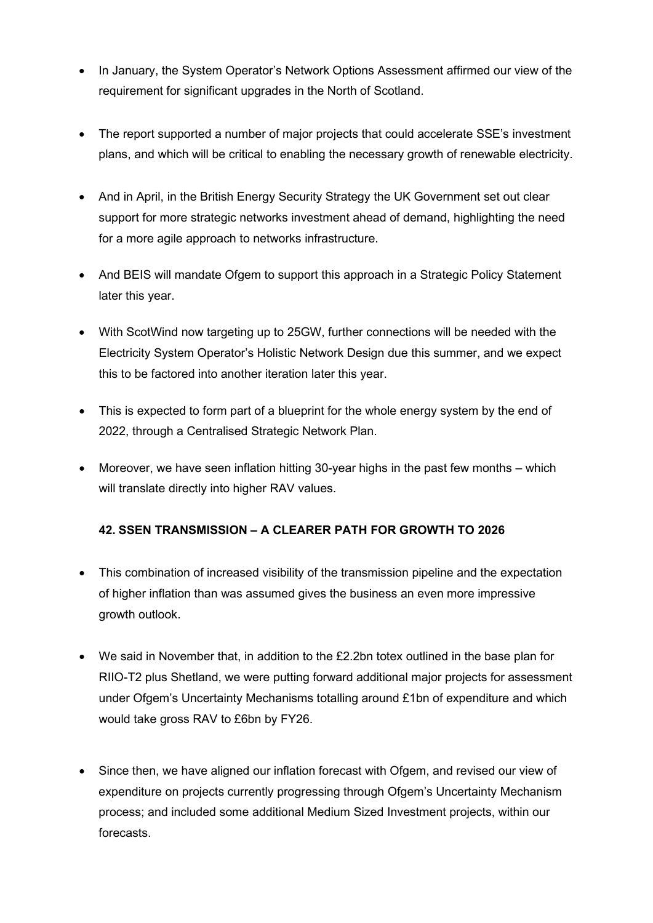- In January, the System Operator's Network Options Assessment affirmed our view of the requirement for significant upgrades in the North of Scotland.
- The report supported a number of major projects that could accelerate SSE's investment plans, and which will be critical to enabling the necessary growth of renewable electricity.
- And in April, in the British Energy Security Strategy the UK Government set out clear support for more strategic networks investment ahead of demand, highlighting the need for a more agile approach to networks infrastructure.
- And BEIS will mandate Ofgem to support this approach in a Strategic Policy Statement later this year.
- With ScotWind now targeting up to 25GW, further connections will be needed with the Electricity System Operator's Holistic Network Design due this summer, and we expect this to be factored into another iteration later this year.
- This is expected to form part of a blueprint for the whole energy system by the end of 2022, through a Centralised Strategic Network Plan.
- Moreover, we have seen inflation hitting 30-year highs in the past few months which will translate directly into higher RAV values.

## **42. SSEN TRANSMISSION – A CLEARER PATH FOR GROWTH TO 2026**

- This combination of increased visibility of the transmission pipeline and the expectation of higher inflation than was assumed gives the business an even more impressive growth outlook.
- We said in November that, in addition to the £2.2bn totex outlined in the base plan for RIIO-T2 plus Shetland, we were putting forward additional major projects for assessment under Ofgem's Uncertainty Mechanisms totalling around £1bn of expenditure and which would take gross RAV to £6bn by FY26.
- Since then, we have aligned our inflation forecast with Ofgem, and revised our view of expenditure on projects currently progressing through Ofgem's Uncertainty Mechanism process; and included some additional Medium Sized Investment projects, within our forecasts.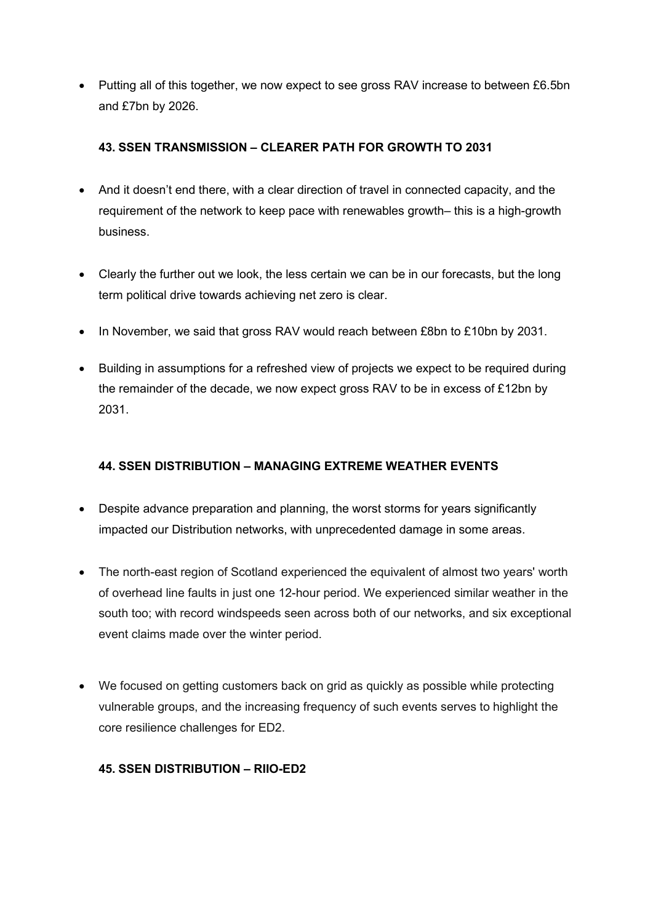• Putting all of this together, we now expect to see gross RAV increase to between £6.5bn and £7bn by 2026.

## **43. SSEN TRANSMISSION – CLEARER PATH FOR GROWTH TO 2031**

- And it doesn't end there, with a clear direction of travel in connected capacity, and the requirement of the network to keep pace with renewables growth– this is a high-growth business.
- Clearly the further out we look, the less certain we can be in our forecasts, but the long term political drive towards achieving net zero is clear.
- In November, we said that gross RAV would reach between £8bn to £10bn by 2031.
- Building in assumptions for a refreshed view of projects we expect to be required during the remainder of the decade, we now expect gross RAV to be in excess of £12bn by 2031.

## **44. SSEN DISTRIBUTION – MANAGING EXTREME WEATHER EVENTS**

- Despite advance preparation and planning, the worst storms for years significantly impacted our Distribution networks, with unprecedented damage in some areas.
- The north-east region of Scotland experienced the equivalent of almost two years' worth of overhead line faults in just one 12-hour period. We experienced similar weather in the south too; with record windspeeds seen across both of our networks, and six exceptional event claims made over the winter period.
- We focused on getting customers back on grid as quickly as possible while protecting vulnerable groups, and the increasing frequency of such events serves to highlight the core resilience challenges for ED2.

#### **45. SSEN DISTRIBUTION – RIIO-ED2**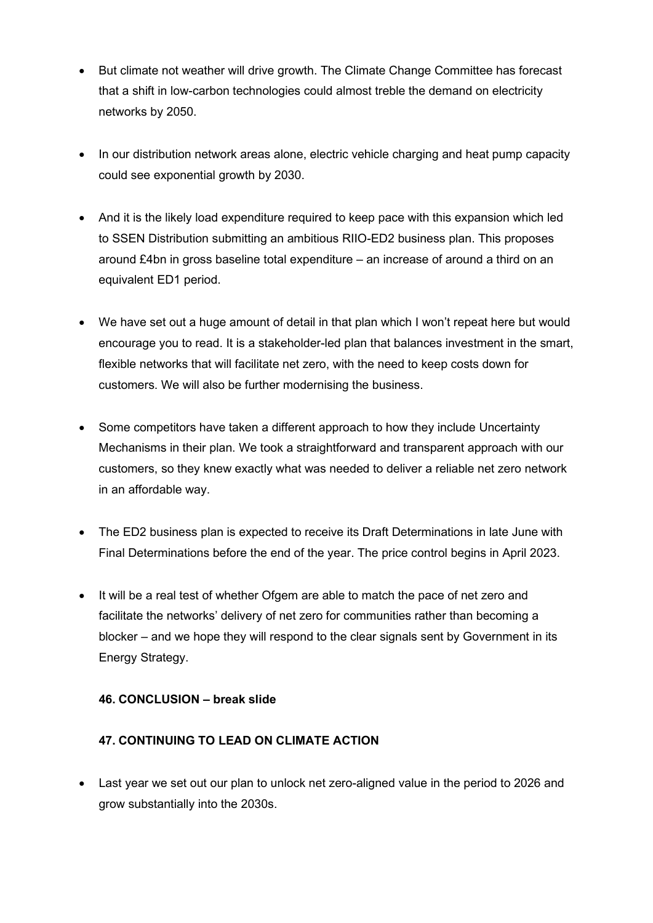- But climate not weather will drive growth. The Climate Change Committee has forecast that a shift in low-carbon technologies could almost treble the demand on electricity networks by 2050.
- In our distribution network areas alone, electric vehicle charging and heat pump capacity could see exponential growth by 2030.
- And it is the likely load expenditure required to keep pace with this expansion which led to SSEN Distribution submitting an ambitious RIIO-ED2 business plan. This proposes around £4bn in gross baseline total expenditure – an increase of around a third on an equivalent ED1 period.
- We have set out a huge amount of detail in that plan which I won't repeat here but would encourage you to read. It is a stakeholder-led plan that balances investment in the smart, flexible networks that will facilitate net zero, with the need to keep costs down for customers. We will also be further modernising the business.
- Some competitors have taken a different approach to how they include Uncertainty Mechanisms in their plan. We took a straightforward and transparent approach with our customers, so they knew exactly what was needed to deliver a reliable net zero network in an affordable way.
- The ED2 business plan is expected to receive its Draft Determinations in late June with Final Determinations before the end of the year. The price control begins in April 2023.
- It will be a real test of whether Ofgem are able to match the pace of net zero and facilitate the networks' delivery of net zero for communities rather than becoming a blocker – and we hope they will respond to the clear signals sent by Government in its Energy Strategy.

#### **46. CONCLUSION – break slide**

## **47. CONTINUING TO LEAD ON CLIMATE ACTION**

• Last year we set out our plan to unlock net zero-aligned value in the period to 2026 and grow substantially into the 2030s.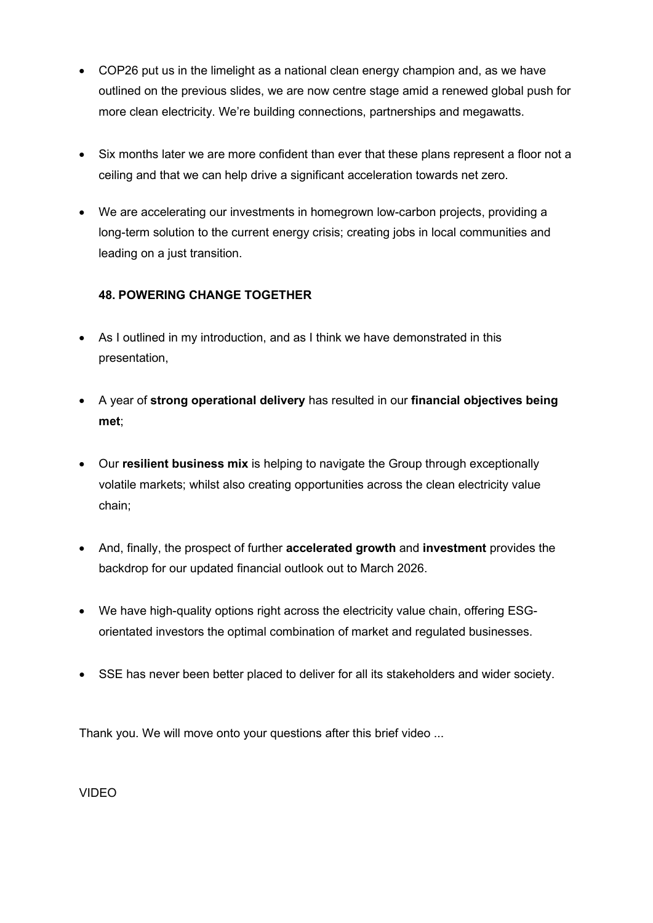- COP26 put us in the limelight as a national clean energy champion and, as we have outlined on the previous slides, we are now centre stage amid a renewed global push for more clean electricity. We're building connections, partnerships and megawatts.
- Six months later we are more confident than ever that these plans represent a floor not a ceiling and that we can help drive a significant acceleration towards net zero.
- We are accelerating our investments in homegrown low-carbon projects, providing a long-term solution to the current energy crisis; creating jobs in local communities and leading on a just transition.

## **48. POWERING CHANGE TOGETHER**

- As I outlined in my introduction, and as I think we have demonstrated in this presentation,
- A year of **strong operational delivery** has resulted in our **financial objectives being met**;
- Our **resilient business mix** is helping to navigate the Group through exceptionally volatile markets; whilst also creating opportunities across the clean electricity value chain;
- And, finally, the prospect of further **accelerated growth** and **investment** provides the backdrop for our updated financial outlook out to March 2026.
- We have high-quality options right across the electricity value chain, offering ESGorientated investors the optimal combination of market and regulated businesses.
- SSE has never been better placed to deliver for all its stakeholders and wider society.

Thank you. We will move onto your questions after this brief video ...

VIDEO